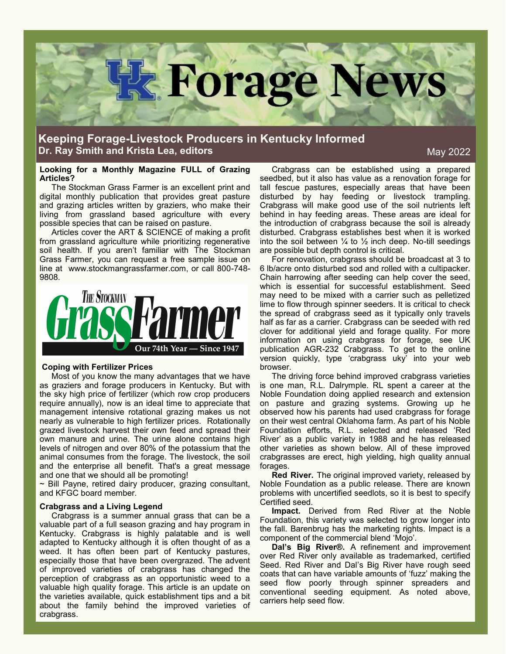

# **Keeping Forage-Livestock Producers in Kentucky Informed Dr. Ray Smith and Krista Lea, editors**

May 2022

# **Looking for a Monthly Magazine FULL of Grazing Articles?**

The Stockman Grass Farmer is an excellent print and digital monthly publication that provides great pasture and grazing articles written by graziers, who make their living from grassland based agriculture with every possible species that can be raised on pasture.

Articles cover the ART & SCIENCE of making a profit from grassland agriculture while prioritizing regenerative soil health. If you aren't familiar with The Stockman Grass Farmer, you can request a free sample issue on line at www.stockmangrassfarmer.com, or call 800-748- 9808.



#### **Coping with Fertilizer Prices**

Most of you know the many advantages that we have as graziers and forage producers in Kentucky. But with the sky high price of fertilizer (which row crop producers require annually), now is an ideal time to appreciate that management intensive rotational grazing makes us not nearly as vulnerable to high fertilizer prices. Rotationally grazed livestock harvest their own feed and spread their own manure and urine. The urine alone contains high levels of nitrogen and over 80% of the potassium that the animal consumes from the forage. The livestock, the soil and the enterprise all benefit. That's a great message and one that we should all be promoting!

~ Bill Payne, retired dairy producer, grazing consultant, and KFGC board member.

# **Crabgrass and a Living Legend**

Crabgrass is a summer annual grass that can be a valuable part of a full season grazing and hay program in Kentucky. Crabgrass is highly palatable and is well adapted to Kentucky although it is often thought of as a weed. It has often been part of Kentucky pastures, especially those that have been overgrazed. The advent of improved varieties of crabgrass has changed the perception of crabgrass as an opportunistic weed to a valuable high quality forage. This article is an update on the varieties available, quick establishment tips and a bit about the family behind the improved varieties of crabgrass.

Crabgrass can be established using a prepared seedbed, but it also has value as a renovation forage for tall fescue pastures, especially areas that have been disturbed by hay feeding or livestock trampling. Crabgrass will make good use of the soil nutrients left behind in hay feeding areas. These areas are ideal for the introduction of crabgrass because the soil is already disturbed. Crabgrass establishes best when it is worked into the soil between  $\frac{1}{4}$  to  $\frac{1}{2}$  inch deep. No-till seedings are possible but depth control is critical.

For renovation, crabgrass should be broadcast at 3 to 6 lb/acre onto disturbed sod and rolled with a cultipacker. Chain harrowing after seeding can help cover the seed, which is essential for successful establishment. Seed may need to be mixed with a carrier such as pelletized lime to flow through spinner seeders. It is critical to check the spread of crabgrass seed as it typically only travels half as far as a carrier. Crabgrass can be seeded with red clover for additional yield and forage quality. For more information on using crabgrass for forage, see UK publication AGR-232 Crabgrass. To get to the online version quickly, type 'crabgrass uky' into your web browser.

The driving force behind improved crabgrass varieties is one man, R.L. Dalrymple. RL spent a career at the Noble Foundation doing applied research and extension on pasture and grazing systems. Growing up he observed how his parents had used crabgrass for forage on their west central Oklahoma farm. As part of his Noble Foundation efforts, R.L. selected and released 'Red River' as a public variety in 1988 and he has released other varieties as shown below. All of these improved crabgrasses are erect, high yielding, high quality annual forages.

**Red River.** The original improved variety, released by Noble Foundation as a public release. There are known problems with uncertified seedlots, so it is best to specify Certified seed.

**Impact.** Derived from Red River at the Noble Foundation, this variety was selected to grow longer into the fall. Barenbrug has the marketing rights. Impact is a component of the commercial blend 'Mojo'.

**Dal's Big River®.** A refinement and improvement over Red River only available as trademarked, certified Seed. Red River and Dal's Big River have rough seed coats that can have variable amounts of 'fuzz' making the seed flow poorly through spinner spreaders and conventional seeding equipment. As noted above, carriers help seed flow.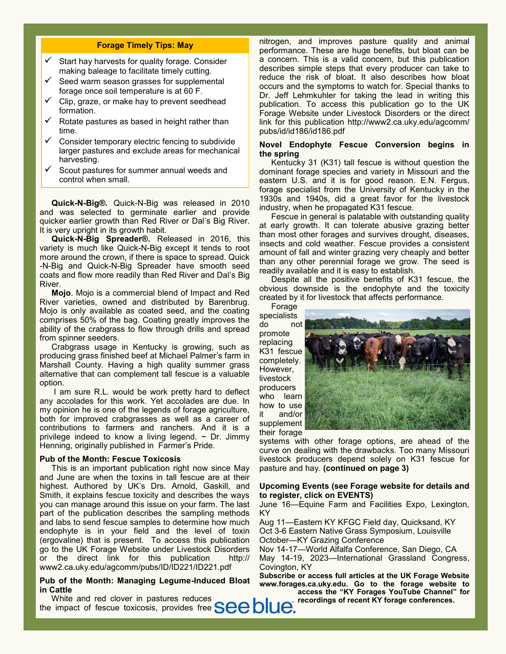# **Forage Timely Tips: May**

- Start hay harvests for quality forage. Consider making baleage to facilitate timely cutting.
- Seed warm season grasses for supplemental forage once soil temperature is at 60 F.
- Clip, graze, or make hay to prevent seedhead formation.
- Rotate pastures as based in height rather than time.
- Consider temporary electric fencing to subdivide larger pastures and exclude areas for mechanical harvesting.
- Scout pastures for summer annual weeds and control when small.

**Quick-N-Big®.** Quick-N-Big was released in 2010 and was selected to germinate earlier and provide quicker earlier growth than Red River or Dal's Big River. It is very upright in its growth habit.

**Quick-N-Big Spreader®.** Released in 2016, this variety is much like Quick-N-Big except it tends to root more around the crown, if there is space to spread. Quick -N-Big and Quick-N-Big Spreader have smooth seed coats and flow more readily than Red River and Dal's Big River.

**Mojo**. Mojo is a commercial blend of Impact and Red River varieties, owned and distributed by Barenbrug. Mojo is only available as coated seed, and the coating comprises 50% of the bag. Coating greatly improves the ability of the crabgrass to flow through drills and spread from spinner seeders.

Crabgrass usage in Kentucky is growing, such as producing grass finished beef at Michael Palmer's farm in Marshall County. Having a high quality summer grass alternative that can complement tall fescue is a valuable option.

I am sure R.L. would be work pretty hard to deflect any accolades for this work. Yet accolades are due. In my opinion he is one of the legends of forage agriculture, both for improved crabgrasses as well as a career of contributions to farmers and ranchers. And it is a privilege indeed to know a living legend.  $\sim$  Dr. Jimmy Henning, originally published in Farmer's Pride.

## **Pub of the Month: Fescue Toxicosis**

This is an important publication right now since May and June are when the toxins in tall fescue are at their highest. Authored by UK's Drs. Arnold, Gaskill, and Smith, it explains fescue toxicity and describes the ways you can manage around this issue on your farm. The last part of the publication describes the sampling methods and labs to send fescue samples to determine how much endophyte is in your field and the level of toxin (ergovaline) that is present. To access this publication go to the UK Forage Website under Livestock Disorders or the direct link for this publication http:// www2.ca.uky.edu/agcomm/pubs/ID/ID221/ID221.pdf

# **Pub of the Month: Managing Legume-Induced Bloat in Cattle**

nitrogen, and improves pasture quality and animal performance. These are huge benefits, but bloat can be a concern. This is a valid concern, but this publication describes simple steps that every producer can take to reduce the risk of bloat. It also describes how bloat occurs and the symptoms to watch for. Special thanks to Dr. Jeff Lehmkuhler for taking the lead in writing this publication. To access this publication go to the UK Forage Website under Livestock Disorders or the direct link for this publication http://www2.ca.uky.edu/agcomm/ pubs/id/id186/id186.pdf

# **Novel Endophyte Fescue Conversion begins in the spring**

Kentucky 31 (K31) tall fescue is without question the dominant forage species and variety in Missouri and the eastern U.S. and it is for good reason. E.N. Fergus, forage specialist from the University of Kentucky in the 1930s and 1940s, did a great favor for the livestock industry, when he propagated K31 fescue.

Fescue in general is palatable with outstanding quality at early growth. It can tolerate abusive grazing better than most other forages and survives drought, diseases, insects and cold weather. Fescue provides a consistent amount of fall and winter grazing very cheaply and better than any other perennial forage we grow. The seed is readily available and it is easy to establish.

Despite all the positive benefits of K31 fescue, the obvious downside is the endophyte and the toxicity created by it for livestock that affects performance.

Forage specialists do not

promote replacing K31 fescue completely. However, livestock producers who learn how to use it and/or supplement



systems with other forage options, are ahead of the curve on dealing with the drawbacks. Too many Missouri livestock producers depend solely on K31 fescue for pasture and hay. **(continued on page 3)**

# **Upcoming Events (see Forage website for details and to register, click on EVENTS)**

June 16—Equine Farm and Facilities Expo, Lexington, KY

Aug 11—Eastern KY KFGC Field day, Quicksand, KY Oct 3-6 Eastern Native Grass Symposium, Louisville October—KY Grazing Conference

Nov 14-17—World Alfalfa Conference, San Diego, CA May 14-19, 2023—International Grassland Congress,

Covington, KY **Subscribe or access full articles at the UK Forage Website** 

**www.forages.ca.uky.edu. Go to the forage website to access the "KY Forages YouTube Channel" for** 

**recordings of recent KY forage conferences.** 

White and red clover in pastures reduces the impact of fescue toxicosis, provides free **SCC DIUC**.